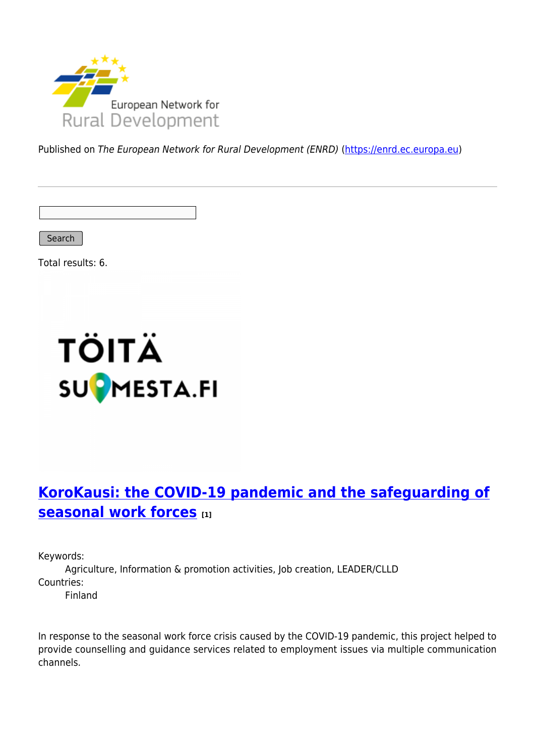

Published on The European Network for Rural Development (ENRD) [\(https://enrd.ec.europa.eu](https://enrd.ec.europa.eu))

Search

Total results: 6.



# **[KoroKausi: the COVID-19 pandemic and the safeguarding of](https://enrd.ec.europa.eu/projects-practice/korokausi-covid-19-pandemic-and-safeguarding-seasonal-work-forces_en) [seasonal work forces](https://enrd.ec.europa.eu/projects-practice/korokausi-covid-19-pandemic-and-safeguarding-seasonal-work-forces_en) [1]**

Keywords:

Agriculture, Information & promotion activities, Job creation, LEADER/CLLD Countries: Finland

In response to the seasonal work force crisis caused by the COVID-19 pandemic, this project helped to provide counselling and guidance services related to employment issues via multiple communication channels.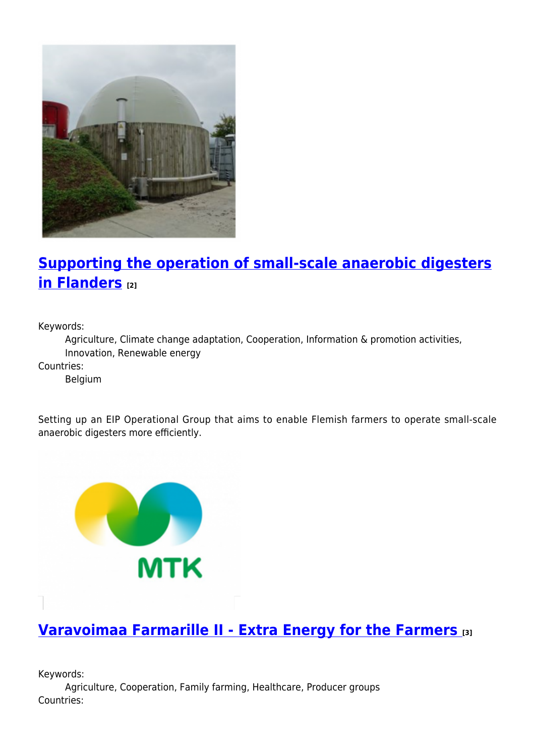

# **[Supporting the operation of small-scale anaerobic digesters](https://enrd.ec.europa.eu/projects-practice/supporting-operation-small-scale-anaerobic-digesters-flanders_en) [in Flanders](https://enrd.ec.europa.eu/projects-practice/supporting-operation-small-scale-anaerobic-digesters-flanders_en) [2]**

Keywords:

Agriculture, Climate change adaptation, Cooperation, Information & promotion activities, Innovation, Renewable energy

Countries:

Belgium

Setting up an EIP Operational Group that aims to enable Flemish farmers to operate small-scale anaerobic digesters more efficiently.



#### **[Varavoimaa Farmarille II - Extra Energy for the Farmers](https://enrd.ec.europa.eu/projects-practice/varavoimaa-farmarille-ii-extra-energy-farmers_en) [3]**

Keywords: Agriculture, Cooperation, Family farming, Healthcare, Producer groups Countries: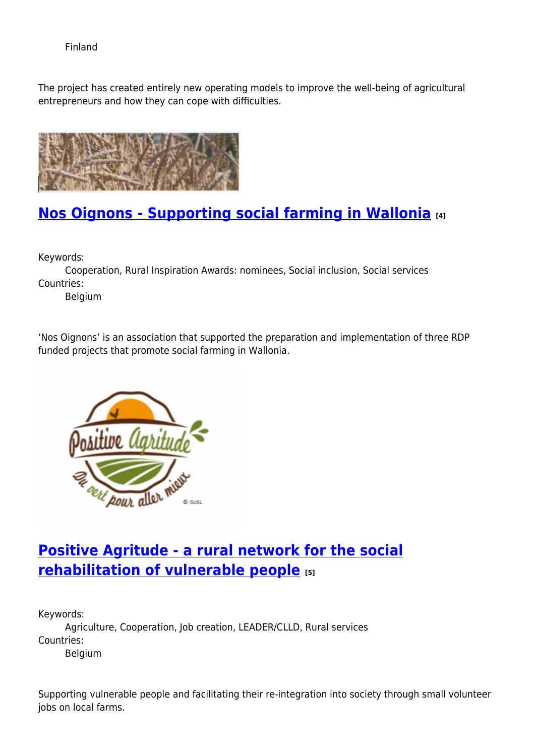Finland

The project has created entirely new operating models to improve the well-being of agricultural entrepreneurs and how they can cope with difficulties.



# **[Nos Oignons - Supporting social farming in Wallonia](https://enrd.ec.europa.eu/projects-practice/nos-oignons-supporting-social-farming-wallonia_en) [4]**

Keywords:

Cooperation, Rural Inspiration Awards: nominees, Social inclusion, Social services Countries:

Belgium

'Nos Oignons' is an association that supported the preparation and implementation of three RDP funded projects that promote social farming in Wallonia.



# **[Positive Agritude - a rural network for the social](https://enrd.ec.europa.eu/projects-practice/positive-agritude-rural-network-social-rehabilitation-vulnerable-people_en) [rehabilitation of vulnerable people](https://enrd.ec.europa.eu/projects-practice/positive-agritude-rural-network-social-rehabilitation-vulnerable-people_en) [5]**

Keywords: Agriculture, Cooperation, Job creation, LEADER/CLLD, Rural services Countries: Belgium

Supporting vulnerable people and facilitating their re-integration into society through small volunteer jobs on local farms.